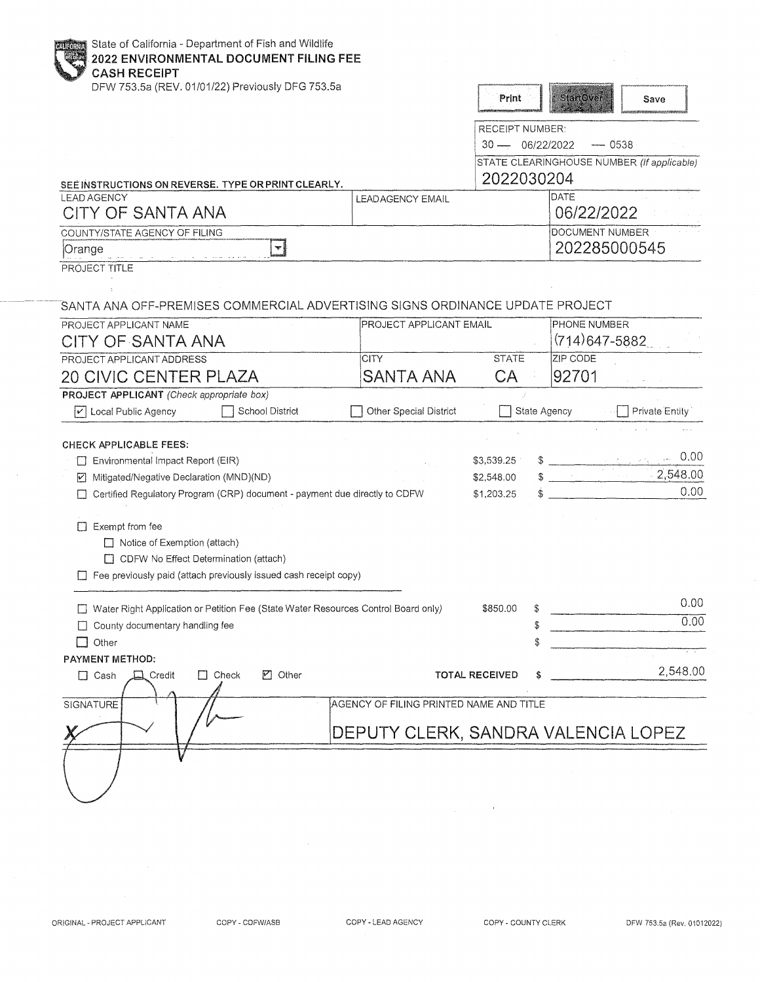| State of California - Department of Fish and Wildlife<br>2022 ENVIRONMENTAL DOCUMENT FILING FEE<br><b>CASH RECEIPT</b> |                                         |                        |                  |                                            |
|------------------------------------------------------------------------------------------------------------------------|-----------------------------------------|------------------------|------------------|--------------------------------------------|
| DFW 753.5a (REV. 01/01/22) Previously DFG 753.5a                                                                       |                                         | Print                  | <b>StartOver</b> | Save                                       |
|                                                                                                                        |                                         | <b>RECEIPT NUMBER:</b> |                  |                                            |
|                                                                                                                        |                                         | $30 - 06/22/2022$      |                  | $- 0538$                                   |
|                                                                                                                        |                                         |                        |                  | STATE CLEARINGHOUSE NUMBER (If applicable) |
| SEE INSTRUCTIONS ON REVERSE. TYPE OR PRINT CLEARLY.                                                                    |                                         | 2022030204             |                  |                                            |
| <b>LEAD AGENCY</b>                                                                                                     | LEAD AGENCY EMAIL                       |                        | <b>DATE</b>      |                                            |
| CITY OF SANTA ANA                                                                                                      |                                         |                        |                  | 06/22/2022                                 |
| COUNTY/STATE AGENCY OF FILING                                                                                          |                                         |                        |                  | <b>DOCUMENT NUMBER</b>                     |
| ₩ļ<br>Orange                                                                                                           |                                         |                        |                  | 202285000545                               |
| PROJECT TITLE                                                                                                          |                                         |                        |                  |                                            |
|                                                                                                                        |                                         |                        |                  |                                            |
| SANTA ANA OFF-PREMISES COMMERCIAL ADVERTISING SIGNS ORDINANCE UPDATE PROJECT                                           |                                         |                        |                  |                                            |
|                                                                                                                        |                                         |                        |                  | PHONE NUMBER                               |
| PROJECT APPLICANT NAME<br>CITY OF SANTA ANA                                                                            | PROJECT APPLICANT EMAIL                 |                        |                  | $(714)647 - 5882$                          |
|                                                                                                                        |                                         |                        |                  |                                            |
| PROJECT APPLICANT ADDRESS                                                                                              | <b>CITY</b>                             | <b>STATE</b>           | ZIP CODE         |                                            |
| <b>20 CIVIC CENTER PLAZA</b>                                                                                           | SANTA ANA                               | CA                     | 92701            |                                            |
| <b>PROJECT APPLICANT</b> (Check appropriate box)                                                                       |                                         |                        |                  |                                            |
| School District<br>Local Public Agency<br>iv.                                                                          | Other Special District                  |                        | State Agency     | Private Entity                             |
|                                                                                                                        |                                         |                        |                  |                                            |
| CHECK APPLICABLE FEES:                                                                                                 |                                         |                        |                  | 0.00                                       |
| Environmental Impact Report (EIR)                                                                                      |                                         | \$3,539.25             |                  | 2,548.00                                   |
| Mitigated/Negative Declaration (MND)(ND)<br>$\vert \mathbf{v} \vert$                                                   |                                         | \$2,548.00             |                  | 0.00                                       |
| Certified Regulatory Program (CRP) document - payment due directly to CDFW                                             |                                         | \$1,203.25             |                  |                                            |
| $\Box$ Exempt from fee                                                                                                 |                                         |                        |                  |                                            |
| $\Box$ Notice of Exemption (attach)                                                                                    |                                         |                        |                  |                                            |
| CDFW No Effect Determination (attach)                                                                                  |                                         |                        |                  |                                            |
| Fee previously paid (attach previously issued cash receipt copy)                                                       |                                         |                        |                  |                                            |
|                                                                                                                        |                                         |                        |                  |                                            |
| Water Right Application or Petition Fee (State Water Resources Control Board only)                                     |                                         | \$850.00               |                  | 0.00                                       |
| County documentary handling fee                                                                                        |                                         |                        | \$               | 0.00                                       |
| $\Box$ Other                                                                                                           |                                         |                        |                  |                                            |
| PAYMENT METHOD:                                                                                                        |                                         |                        |                  |                                            |
| $\Box$ Check<br>☑ Other<br>$\Box$ Cash<br>$\Box$ Credit                                                                |                                         | <b>TOTAL RECEIVED</b>  |                  | 2,548.00                                   |
|                                                                                                                        |                                         |                        |                  |                                            |
| SIGNATURE                                                                                                              | AGENCY OF FILING PRINTED NAME AND TITLE |                        |                  |                                            |
|                                                                                                                        |                                         |                        |                  |                                            |
|                                                                                                                        | DEPUTY CLERK, SANDRA VALENCIA LOPEZ     |                        |                  |                                            |
|                                                                                                                        |                                         |                        |                  |                                            |
|                                                                                                                        |                                         |                        |                  |                                            |
|                                                                                                                        |                                         |                        |                  |                                            |
|                                                                                                                        |                                         |                        |                  |                                            |

 $\sim$   $\sim$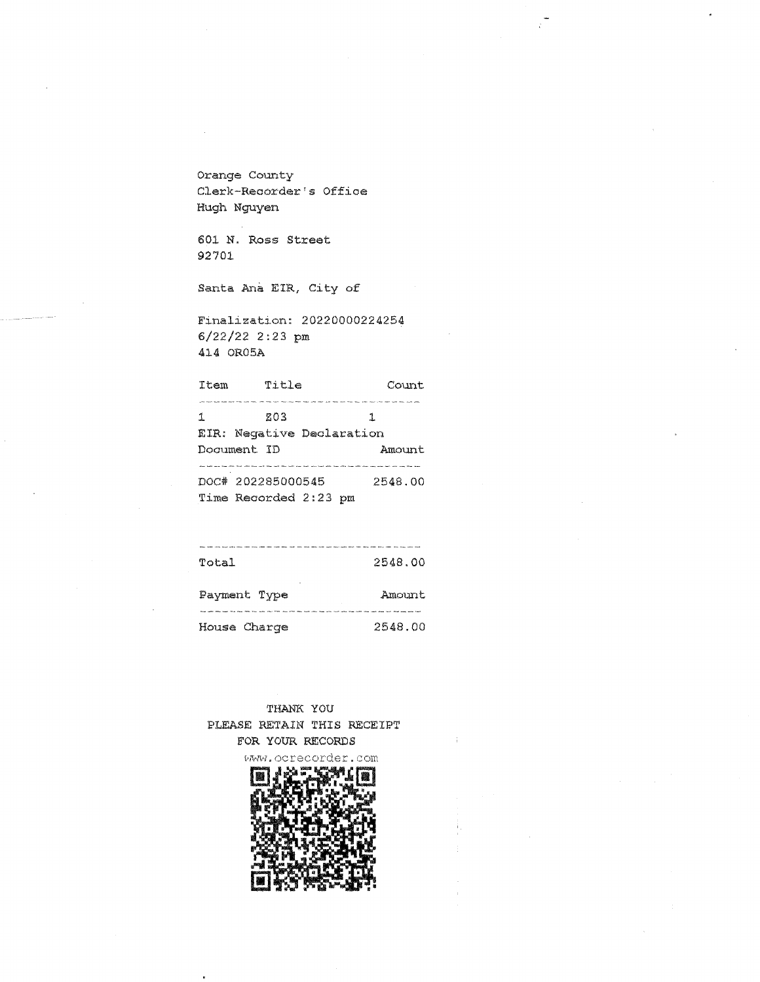Orange County Clerk-Recorder's Office Hugh Nguyen

601 N. Ross Street 92701

Santa Ana EIR, City of

Finalization: 20220000224254 6/22/22 2:23 pm 414 OR05A

| Item | Title                            | Count.  |
|------|----------------------------------|---------|
| 1    | 803<br>EIR: Negative Declaration | ٦.      |
|      | Document ID                      | Amount  |
|      | DOC# 202285000545                | 2548.00 |

| Total | 2548.00 |
|-------|---------|

| Payment Type | Amount  |
|--------------|---------|
|              |         |
| House Charge | 2548.00 |

THANK YOU PLEASE RETAIN THIS RECEIPT FOR YOUR RECORDS

itllfl'•H. ocrec:order. com

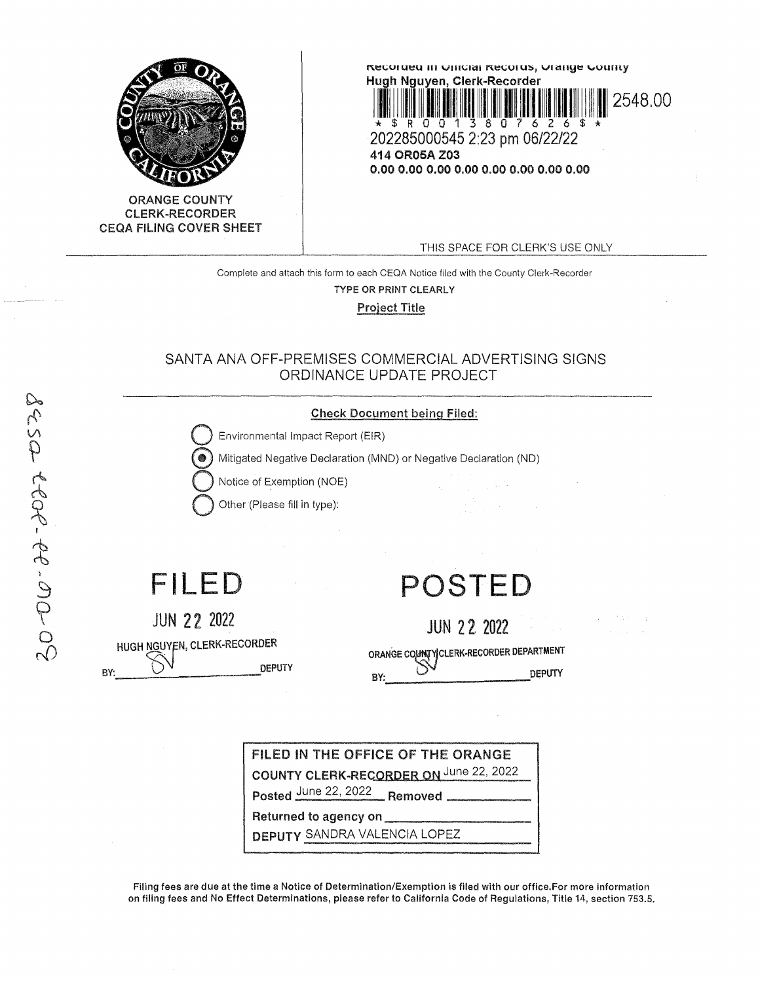



THIS SPACE FOR CLERK'S USE ONLY

Complete and attach this form to each CEQA Notice filed with the County Clerk-Recorder TYPE OR PRINT CLEARLY

Project Title

## SANTA ANA OFF-PREMISES COMMERCIAL ADVERTISING SIGNS ORDINANCE UPDATE PROJECT



DEPUTY SANDRA VALENCIA LOPEZ

Filing fees are due at the time a Notice of Determination/Exemption is flied with our office.For more Information on filing fees and No Effect Determinations, please refer to California Code of Regulations, Title 14, section 753.5.